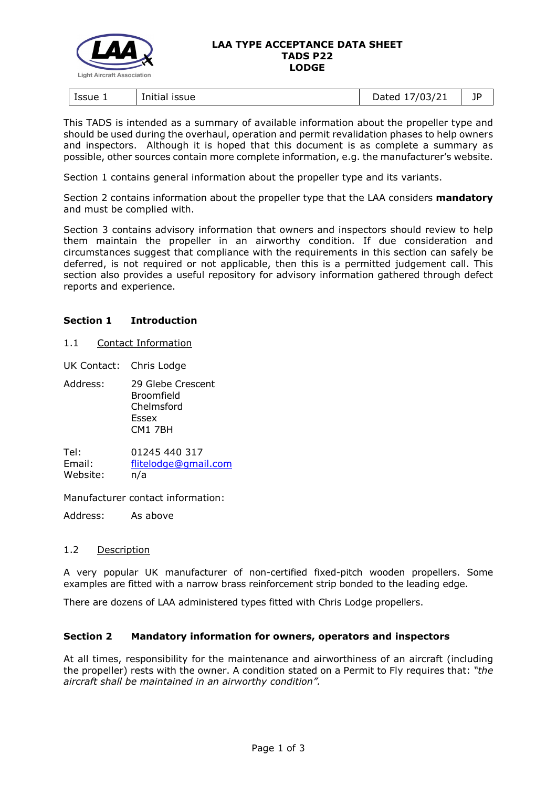

#### **LAA TYPE ACCEPTANCE DATA SHEET TADS P22 LODGE**

| Issue 1<br><b>ISSUE</b><br>Initial | 103/21<br>atar)<br>13/z<br>puccu<br>- | 1D<br>- 1 |
|------------------------------------|---------------------------------------|-----------|
|------------------------------------|---------------------------------------|-----------|

This TADS is intended as a summary of available information about the propeller type and should be used during the overhaul, operation and permit revalidation phases to help owners and inspectors. Although it is hoped that this document is as complete a summary as possible, other sources contain more complete information, e.g. the manufacturer's website.

Section 1 contains general information about the propeller type and its variants.

Section 2 contains information about the propeller type that the LAA considers **mandatory** and must be complied with.

Section 3 contains advisory information that owners and inspectors should review to help them maintain the propeller in an airworthy condition. If due consideration and circumstances suggest that compliance with the requirements in this section can safely be deferred, is not required or not applicable, then this is a permitted judgement call. This section also provides a useful repository for advisory information gathered through defect reports and experience.

# **Section 1 Introduction**

1.1 Contact Information

UK Contact: Chris Lodge

Address: 29 Glebe Crescent Broomfield Chelmsford Essex CM1 7BH

Tel: 01245 440 317 Email: [flitelodge@gmail.com](mailto:flitelodge@gmail.com) Website: n/a

Manufacturer contact information:

Address: As above

# 1.2 Description

A very popular UK manufacturer of non-certified fixed-pitch wooden propellers. Some examples are fitted with a narrow brass reinforcement strip bonded to the leading edge.

There are dozens of LAA administered types fitted with Chris Lodge propellers.

# **Section 2 Mandatory information for owners, operators and inspectors**

At all times, responsibility for the maintenance and airworthiness of an aircraft (including the propeller) rests with the owner. A condition stated on a Permit to Fly requires that: *"the aircraft shall be maintained in an airworthy condition".*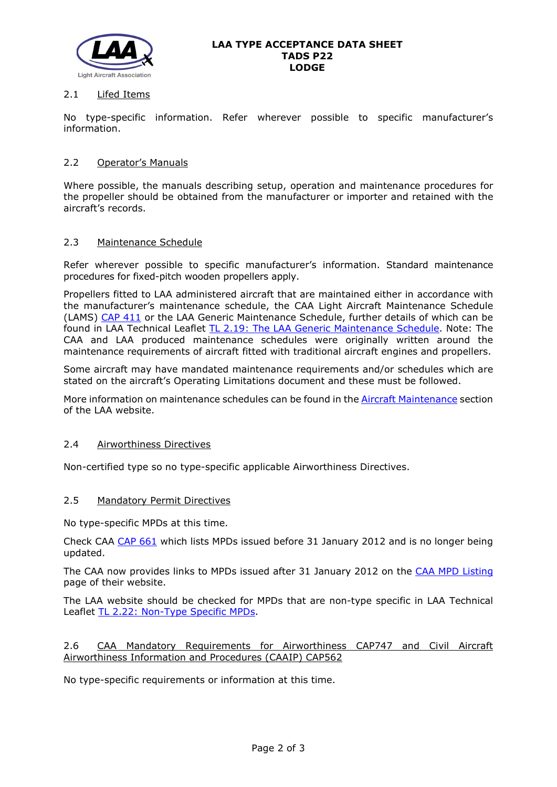

#### **LAA TYPE ACCEPTANCE DATA SHEET TADS P22 LODGE**

## 2.1 Lifed Items

No type-specific information. Refer wherever possible to specific manufacturer's information.

## 2.2 Operator's Manuals

Where possible, the manuals describing setup, operation and maintenance procedures for the propeller should be obtained from the manufacturer or importer and retained with the aircraft's records.

## 2.3 Maintenance Schedule

Refer wherever possible to specific manufacturer's information. Standard maintenance procedures for fixed-pitch wooden propellers apply.

Propellers fitted to LAA administered aircraft that are maintained either in accordance with the manufacturer's maintenance schedule, the CAA Light Aircraft Maintenance Schedule (LAMS) [CAP 411](http://www.caa.co.uk/CAP411) or the LAA Generic Maintenance Schedule, further details of which can be found in LAA Technical Leaflet [TL 2.19: The LAA Generic Maintenance Schedule.](http://www.lightaircraftassociation.co.uk/engineering/TechnicalLeaflets/Operating%20An%20Aircraft/TL%202.19%20The%20LAA%20Generic%20Maintenance%20Schedule.pdf) Note: The CAA and LAA produced maintenance schedules were originally written around the maintenance requirements of aircraft fitted with traditional aircraft engines and propellers.

Some aircraft may have mandated maintenance requirements and/or schedules which are stated on the aircraft's Operating Limitations document and these must be followed.

More information on maintenance schedules can be found in the [Aircraft Maintenance](http://www.lightaircraftassociation.co.uk/engineering/Maintenance/Aircraft_Maintenance.html) section of the LAA website.

### 2.4 Airworthiness Directives

Non-certified type so no type-specific applicable Airworthiness Directives.

#### 2.5 Mandatory Permit Directives

No type-specific MPDs at this time.

Check CAA [CAP 661](http://www.caa.co.uk/cap661) which lists MPDs issued before 31 January 2012 and is no longer being updated.

The CAA now provides links to MPDs issued after 31 January 2012 on the [CAA MPD Listing](http://publicapps.caa.co.uk/modalapplication.aspx?appid=11&mode=list&type=sercat&id=55) page of their website.

The LAA website should be checked for MPDs that are non-type specific in LAA Technical Leaflet [TL 2.22: Non-Type Specific MPDs.](http://www.lightaircraftassociation.co.uk/engineering/TechnicalLeaflets/Operating%20An%20Aircraft/TL%202.22%20non-type%20specific%20MPDs.pdf)

## 2.6 CAA Mandatory Requirements for Airworthiness CAP747 and Civil Aircraft Airworthiness Information and Procedures (CAAIP) CAP562

No type-specific requirements or information at this time.